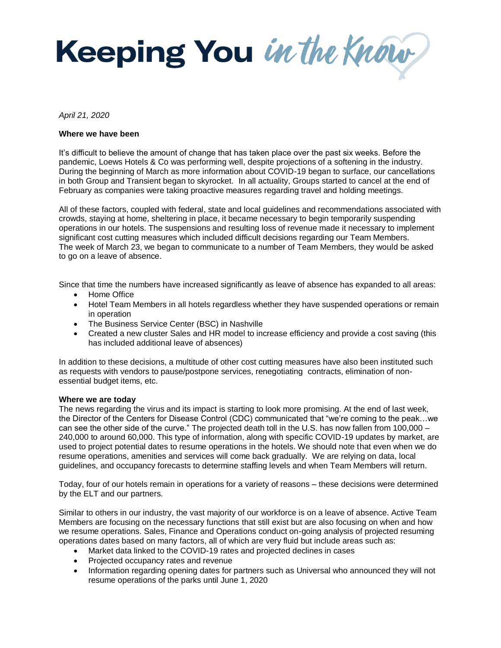Keeping You in the Know

*April 21, 2020*

## **Where we have been**

It's difficult to believe the amount of change that has taken place over the past six weeks. Before the pandemic, Loews Hotels & Co was performing well, despite projections of a softening in the industry. During the beginning of March as more information about COVID-19 began to surface, our cancellations in both Group and Transient began to skyrocket. In all actuality, Groups started to cancel at the end of February as companies were taking proactive measures regarding travel and holding meetings.

All of these factors, coupled with federal, state and local guidelines and recommendations associated with crowds, staying at home, sheltering in place, it became necessary to begin temporarily suspending operations in our hotels. The suspensions and resulting loss of revenue made it necessary to implement significant cost cutting measures which included difficult decisions regarding our Team Members. The week of March 23, we began to communicate to a number of Team Members, they would be asked to go on a leave of absence.

Since that time the numbers have increased significantly as leave of absence has expanded to all areas:

- Home Office
- Hotel Team Members in all hotels regardless whether they have suspended operations or remain in operation
- The Business Service Center (BSC) in Nashville
- Created a new cluster Sales and HR model to increase efficiency and provide a cost saving (this has included additional leave of absences)

In addition to these decisions, a multitude of other cost cutting measures have also been instituted such as requests with vendors to pause/postpone services, renegotiating contracts, elimination of nonessential budget items, etc.

## **Where we are today**

The news regarding the virus and its impact is starting to look more promising. At the end of last week, the Director of the Centers for Disease Control (CDC) communicated that "we're coming to the peak…we can see the other side of the curve." The projected death toll in the U.S. has now fallen from 100,000 – 240,000 to around 60,000. This type of information, along with specific COVID-19 updates by market, are used to project potential dates to resume operations in the hotels. We should note that even when we do resume operations, amenities and services will come back gradually. We are relying on data, local guidelines, and occupancy forecasts to determine staffing levels and when Team Members will return.

Today, four of our hotels remain in operations for a variety of reasons – these decisions were determined by the ELT and our partners.

Similar to others in our industry, the vast majority of our workforce is on a leave of absence. Active Team Members are focusing on the necessary functions that still exist but are also focusing on when and how we resume operations. Sales, Finance and Operations conduct on-going analysis of projected resuming operations dates based on many factors, all of which are very fluid but include areas such as:

- Market data linked to the COVID-19 rates and projected declines in cases
- Projected occupancy rates and revenue
- Information regarding opening dates for partners such as Universal who announced they will not resume operations of the parks until June 1, 2020